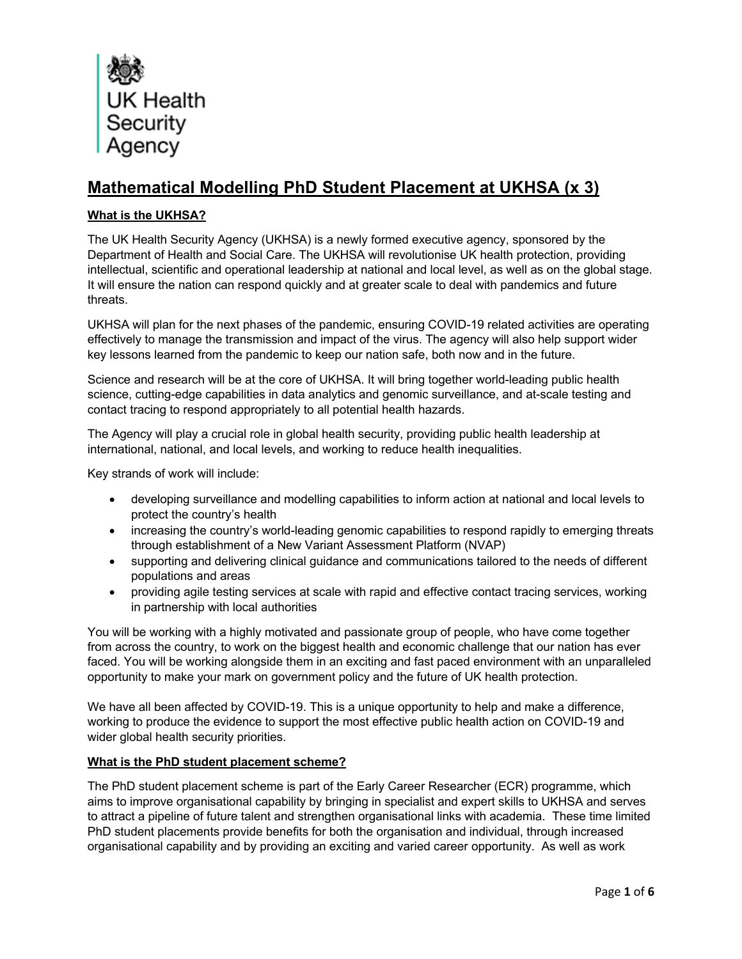

# **Mathematical Modelling PhD Student Placement at UKHSA (x 3)**

# **What is the UKHSA?**

The UK Health Security Agency (UKHSA) is a newly formed executive agency, sponsored by the Department of Health and Social Care. The UKHSA will revolutionise UK health protection, providing intellectual, scientific and operational leadership at national and local level, as well as on the global stage. It will ensure the nation can respond quickly and at greater scale to deal with pandemics and future threats.

UKHSA will plan for the next phases of the pandemic, ensuring COVID-19 related activities are operating effectively to manage the transmission and impact of the virus. The agency will also help support wider key lessons learned from the pandemic to keep our nation safe, both now and in the future.

Science and research will be at the core of UKHSA. It will bring together world-leading public health science, cutting-edge capabilities in data analytics and genomic surveillance, and at-scale testing and contact tracing to respond appropriately to all potential health hazards.

The Agency will play a crucial role in global health security, providing public health leadership at international, national, and local levels, and working to reduce health inequalities.

Key strands of work will include:

- developing surveillance and modelling capabilities to inform action at national and local levels to protect the country's health
- increasing the country's world-leading genomic capabilities to respond rapidly to emerging threats through establishment of a New Variant Assessment Platform (NVAP)
- supporting and delivering clinical guidance and communications tailored to the needs of different populations and areas
- providing agile testing services at scale with rapid and effective contact tracing services, working in partnership with local authorities

You will be working with a highly motivated and passionate group of people, who have come together from across the country, to work on the biggest health and economic challenge that our nation has ever faced. You will be working alongside them in an exciting and fast paced environment with an unparalleled opportunity to make your mark on government policy and the future of UK health protection.

We have all been affected by COVID-19. This is a unique opportunity to help and make a difference, working to produce the evidence to support the most effective public health action on COVID-19 and wider global health security priorities.

# **What is the PhD student placement scheme?**

The PhD student placement scheme is part of the Early Career Researcher (ECR) programme, which aims to improve organisational capability by bringing in specialist and expert skills to UKHSA and serves to attract a pipeline of future talent and strengthen organisational links with academia. These time limited PhD student placements provide benefits for both the organisation and individual, through increased organisational capability and by providing an exciting and varied career opportunity. As well as work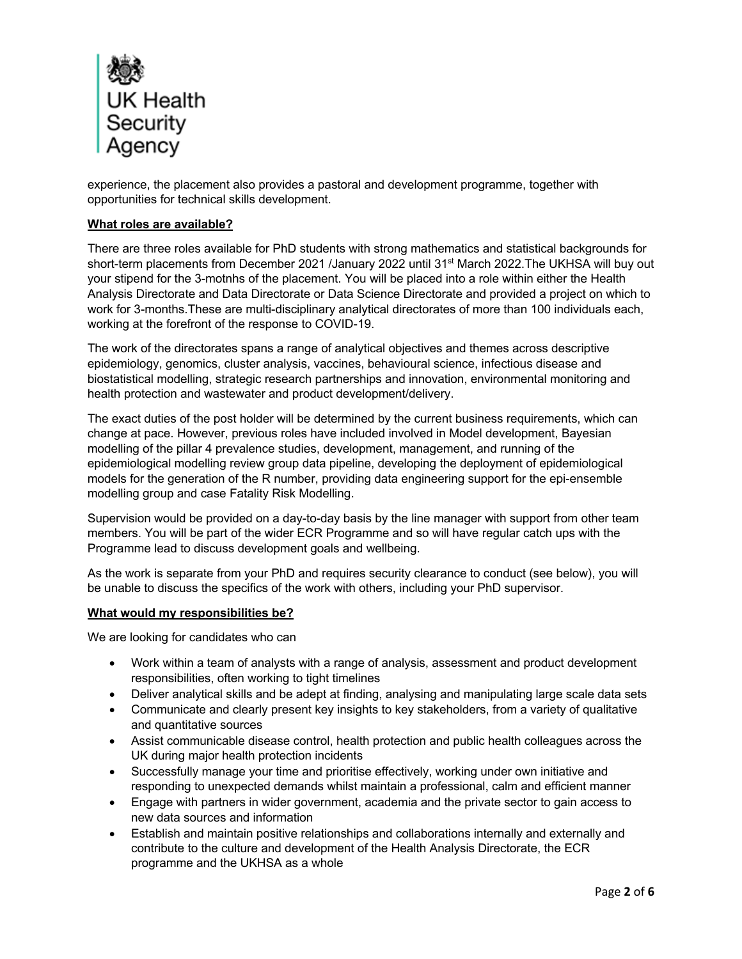

experience, the placement also provides a pastoral and development programme, together with opportunities for technical skills development.

#### **What roles are available?**

There are three roles available for PhD students with strong mathematics and statistical backgrounds for short-term placements from December 2021 /January 2022 until 31<sup>st</sup> March 2022. The UKHSA will buy out your stipend for the 3-motnhs of the placement. You will be placed into a role within either the Health Analysis Directorate and Data Directorate or Data Science Directorate and provided a project on which to work for 3-months.These are multi-disciplinary analytical directorates of more than 100 individuals each, working at the forefront of the response to COVID-19.

The work of the directorates spans a range of analytical objectives and themes across descriptive epidemiology, genomics, cluster analysis, vaccines, behavioural science, infectious disease and biostatistical modelling, strategic research partnerships and innovation, environmental monitoring and health protection and wastewater and product development/delivery.

The exact duties of the post holder will be determined by the current business requirements, which can change at pace. However, previous roles have included involved in Model development, Bayesian modelling of the pillar 4 prevalence studies, development, management, and running of the epidemiological modelling review group data pipeline, developing the deployment of epidemiological models for the generation of the R number, providing data engineering support for the epi-ensemble modelling group and case Fatality Risk Modelling.

Supervision would be provided on a day-to-day basis by the line manager with support from other team members. You will be part of the wider ECR Programme and so will have regular catch ups with the Programme lead to discuss development goals and wellbeing.

As the work is separate from your PhD and requires security clearance to conduct (see below), you will be unable to discuss the specifics of the work with others, including your PhD supervisor.

#### **What would my responsibilities be?**

We are looking for candidates who can

- Work within a team of analysts with a range of analysis, assessment and product development responsibilities, often working to tight timelines
- Deliver analytical skills and be adept at finding, analysing and manipulating large scale data sets
- Communicate and clearly present key insights to key stakeholders, from a variety of qualitative and quantitative sources
- Assist communicable disease control, health protection and public health colleagues across the UK during major health protection incidents
- Successfully manage your time and prioritise effectively, working under own initiative and responding to unexpected demands whilst maintain a professional, calm and efficient manner
- Engage with partners in wider government, academia and the private sector to gain access to new data sources and information
- Establish and maintain positive relationships and collaborations internally and externally and contribute to the culture and development of the Health Analysis Directorate, the ECR programme and the UKHSA as a whole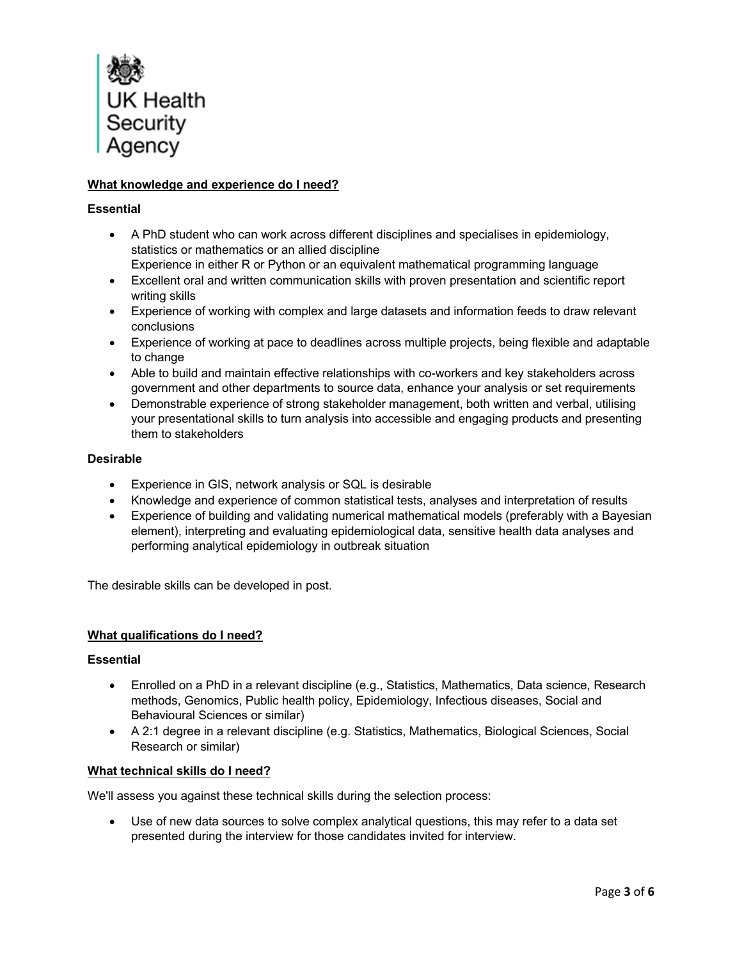

# **What knowledge and experience do I need?**

## **Essential**

- A PhD student who can work across different disciplines and specialises in epidemiology, statistics or mathematics or an allied discipline Experience in either R or Python or an equivalent mathematical programming language
- Excellent oral and written communication skills with proven presentation and scientific report writing skills
- Experience of working with complex and large datasets and information feeds to draw relevant conclusions
- Experience of working at pace to deadlines across multiple projects, being flexible and adaptable to change
- Able to build and maintain effective relationships with co-workers and key stakeholders across government and other departments to source data, enhance your analysis or set requirements
- Demonstrable experience of strong stakeholder management, both written and verbal, utilising your presentational skills to turn analysis into accessible and engaging products and presenting them to stakeholders

## **Desirable**

- Experience in GIS, network analysis or SQL is desirable
- Knowledge and experience of common statistical tests, analyses and interpretation of results
- Experience of building and validating numerical mathematical models (preferably with a Bayesian element), interpreting and evaluating epidemiological data, sensitive health data analyses and performing analytical epidemiology in outbreak situation

The desirable skills can be developed in post.

#### **What qualifications do I need?**

#### **Essential**

- Enrolled on a PhD in a relevant discipline (e.g., Statistics, Mathematics, Data science, Research methods, Genomics, Public health policy, Epidemiology, Infectious diseases, Social and Behavioural Sciences or similar)
- A 2:1 degree in a relevant discipline (e.g. Statistics, Mathematics, Biological Sciences, Social Research or similar)

#### **What technical skills do I need?**

We'll assess you against these technical skills during the selection process:

• Use of new data sources to solve complex analytical questions, this may refer to a data set presented during the interview for those candidates invited for interview.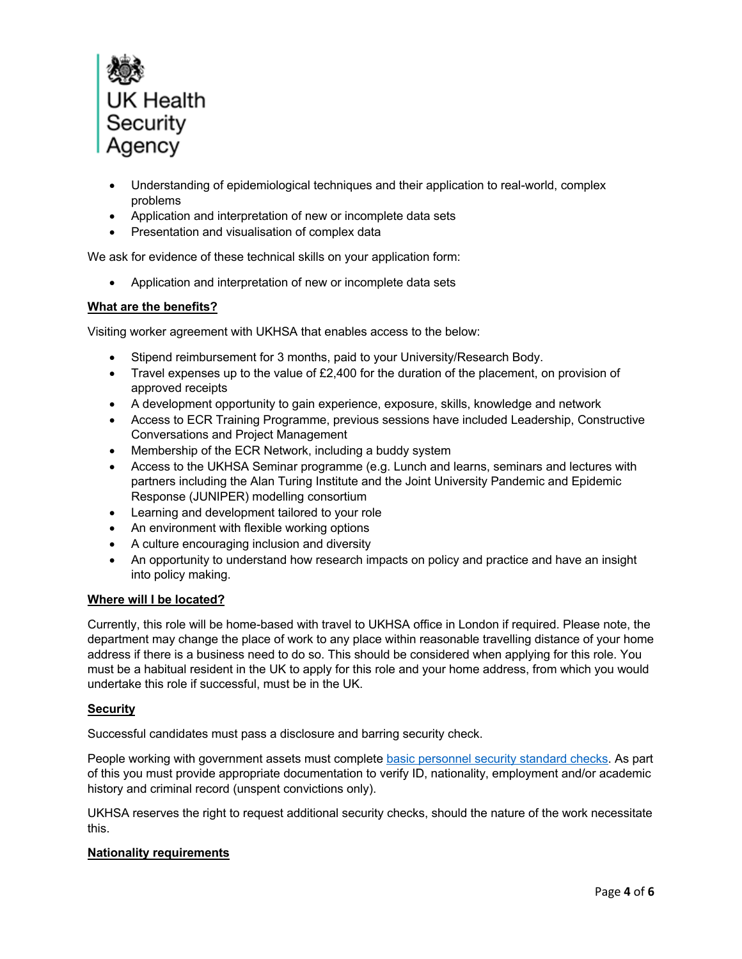

- Understanding of epidemiological techniques and their application to real-world, complex problems
- Application and interpretation of new or incomplete data sets
- Presentation and visualisation of complex data

We ask for evidence of these technical skills on your application form:

• Application and interpretation of new or incomplete data sets

### **What are the benefits?**

Visiting worker agreement with UKHSA that enables access to the below:

- Stipend reimbursement for 3 months, paid to your University/Research Body.
- Travel expenses up to the value of £2,400 for the duration of the placement, on provision of approved receipts
- A development opportunity to gain experience, exposure, skills, knowledge and network
- Access to ECR Training Programme, previous sessions have included Leadership, Constructive Conversations and Project Management
- Membership of the ECR Network, including a buddy system
- Access to the UKHSA Seminar programme (e.g. Lunch and learns, seminars and lectures with partners including the Alan Turing Institute and the Joint University Pandemic and Epidemic Response (JUNIPER) modelling consortium
- Learning and development tailored to your role
- An environment with flexible working options
- A culture encouraging inclusion and diversity
- An opportunity to understand how research impacts on policy and practice and have an insight into policy making.

#### **Where will I be located?**

Currently, this role will be home-based with travel to UKHSA office in London if required. Please note, the department may change the place of work to any place within reasonable travelling distance of your home address if there is a business need to do so. This should be considered when applying for this role. You must be a habitual resident in the UK to apply for this role and your home address, from which you would undertake this role if successful, must be in the UK.

#### **Security**

Successful candidates must pass a disclosure and barring security check.

People working with government assets must complete basic personnel security standard checks. As part of this you must provide appropriate documentation to verify ID, nationality, employment and/or academic history and criminal record (unspent convictions only).

UKHSA reserves the right to request additional security checks, should the nature of the work necessitate this.

#### **Nationality requirements**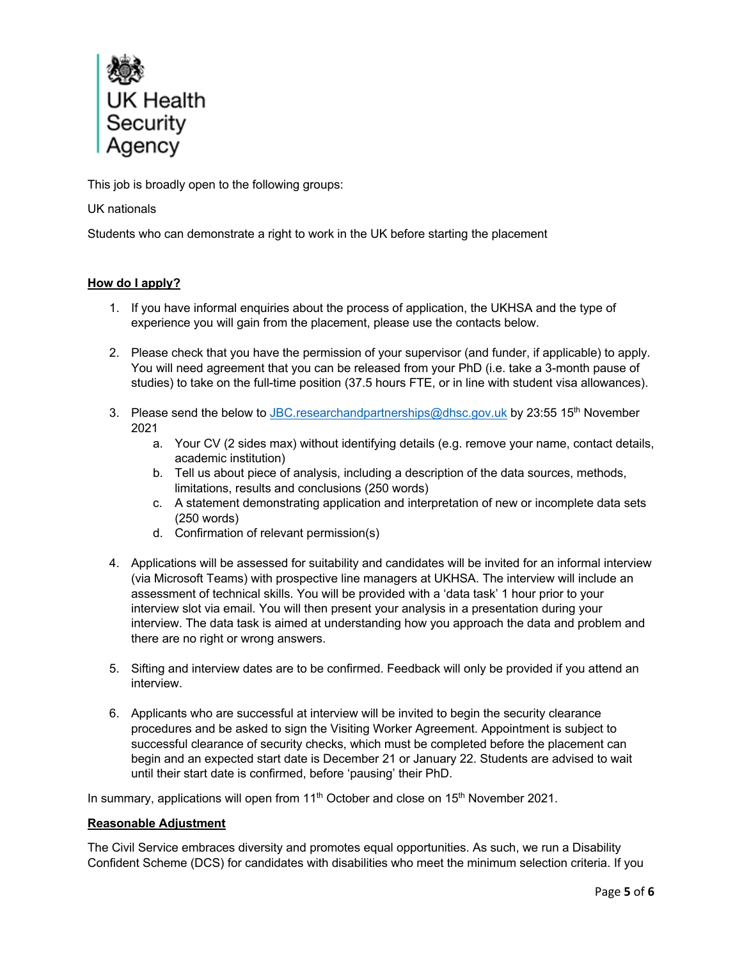

This job is broadly open to the following groups:

# UK nationals

Students who can demonstrate a right to work in the UK before starting the placement

# **How do I apply?**

- 1. If you have informal enquiries about the process of application, the UKHSA and the type of experience you will gain from the placement, please use the contacts below.
- 2. Please check that you have the permission of your supervisor (and funder, if applicable) to apply. You will need agreement that you can be released from your PhD (i.e. take a 3-month pause of studies) to take on the full-time position (37.5 hours FTE, or in line with student visa allowances).
- 3. Please send the below to JBC.researchandpartnerships@dhsc.gov.uk by 23:55 15<sup>th</sup> November 2021
	- a. Your CV (2 sides max) without identifying details (e.g. remove your name, contact details, academic institution)
	- b. Tell us about piece of analysis, including a description of the data sources, methods, limitations, results and conclusions (250 words)
	- c. A statement demonstrating application and interpretation of new or incomplete data sets (250 words)
	- d. Confirmation of relevant permission(s)
- 4. Applications will be assessed for suitability and candidates will be invited for an informal interview (via Microsoft Teams) with prospective line managers at UKHSA. The interview will include an assessment of technical skills. You will be provided with a 'data task' 1 hour prior to your interview slot via email. You will then present your analysis in a presentation during your interview. The data task is aimed at understanding how you approach the data and problem and there are no right or wrong answers.
- 5. Sifting and interview dates are to be confirmed. Feedback will only be provided if you attend an interview.
- 6. Applicants who are successful at interview will be invited to begin the security clearance procedures and be asked to sign the Visiting Worker Agreement. Appointment is subject to successful clearance of security checks, which must be completed before the placement can begin and an expected start date is December 21 or January 22. Students are advised to wait until their start date is confirmed, before 'pausing' their PhD.

In summary, applications will open from 11<sup>th</sup> October and close on 15<sup>th</sup> November 2021.

# **Reasonable Adjustment**

The Civil Service embraces diversity and promotes equal opportunities. As such, we run a Disability Confident Scheme (DCS) for candidates with disabilities who meet the minimum selection criteria. If you